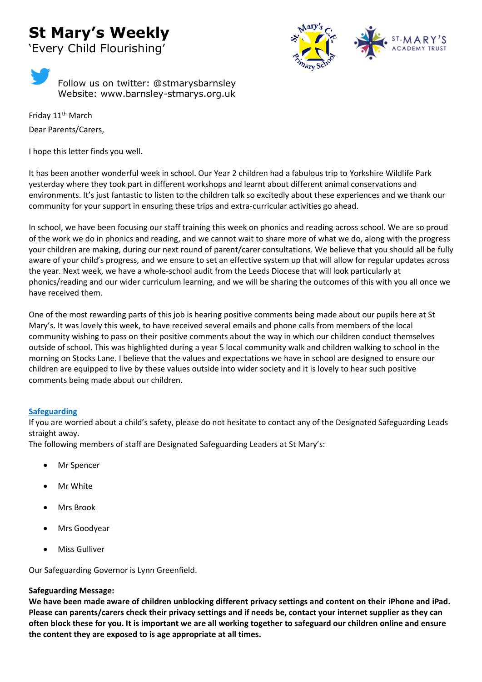# **St Mary's Weekly**



'Every Child Flourishing'

Follow us on twitter: @stmarysbarnsley Website: www.barnsley-stmarys.org.uk

Friday 11<sup>th</sup> March Dear Parents/Carers,

I hope this letter finds you well.

It has been another wonderful week in school. Our Year 2 children had a fabulous trip to Yorkshire Wildlife Park yesterday where they took part in different workshops and learnt about different animal conservations and environments. It's just fantastic to listen to the children talk so excitedly about these experiences and we thank our community for your support in ensuring these trips and extra-curricular activities go ahead.

In school, we have been focusing our staff training this week on phonics and reading across school. We are so proud of the work we do in phonics and reading, and we cannot wait to share more of what we do, along with the progress your children are making, during our next round of parent/carer consultations. We believe that you should all be fully aware of your child's progress, and we ensure to set an effective system up that will allow for regular updates across the year. Next week, we have a whole-school audit from the Leeds Diocese that will look particularly at phonics/reading and our wider curriculum learning, and we will be sharing the outcomes of this with you all once we have received them.

One of the most rewarding parts of this job is hearing positive comments being made about our pupils here at St Mary's. It was lovely this week, to have received several emails and phone calls from members of the local community wishing to pass on their positive comments about the way in which our children conduct themselves outside of school. This was highlighted during a year 5 local community walk and children walking to school in the morning on Stocks Lane. I believe that the values and expectations we have in school are designed to ensure our children are equipped to live by these values outside into wider society and it is lovely to hear such positive comments being made about our children.

# **Safeguarding**

If you are worried about a child's safety, please do not hesitate to contact any of the Designated Safeguarding Leads straight away.

The following members of staff are Designated Safeguarding Leaders at St Mary's:

- **Mr Spencer**
- **Mr White**
- Mrs Brook
- Mrs Goodyear
- Miss Gulliver

Our Safeguarding Governor is Lynn Greenfield.

# **Safeguarding Message:**

**We have been made aware of children unblocking different privacy settings and content on their iPhone and iPad. Please can parents/carers check their privacy settings and if needs be, contact your internet supplier as they can often block these for you. It is important we are all working together to safeguard our children online and ensure the content they are exposed to is age appropriate at all times.**